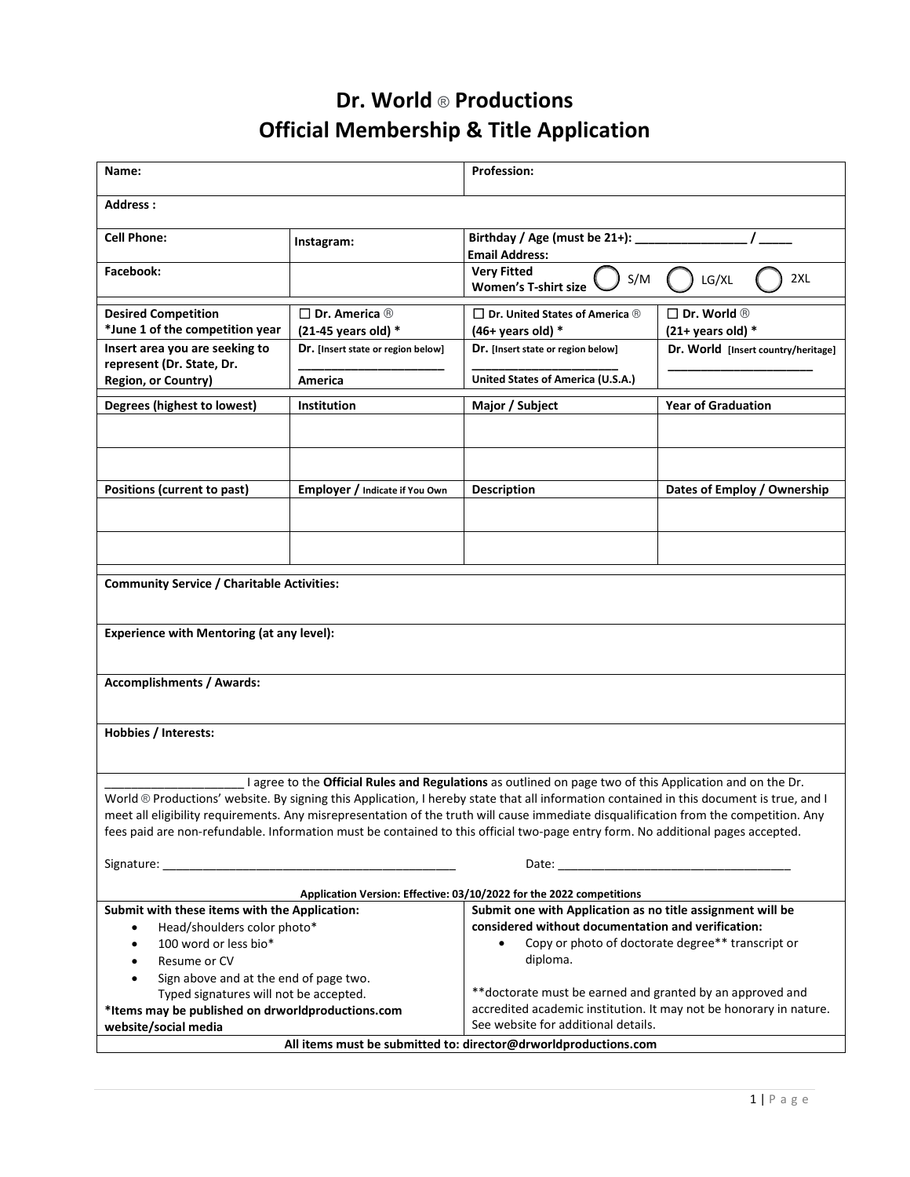## **Dr. World** ® **Productions Official Membership & Title Application**

| Name:                                                                                                                                                                                                                                                                                                                                                                                                                                                            |                                                            | <b>Profession:</b>                                                      |                                                       |  |
|------------------------------------------------------------------------------------------------------------------------------------------------------------------------------------------------------------------------------------------------------------------------------------------------------------------------------------------------------------------------------------------------------------------------------------------------------------------|------------------------------------------------------------|-------------------------------------------------------------------------|-------------------------------------------------------|--|
| Address:                                                                                                                                                                                                                                                                                                                                                                                                                                                         |                                                            |                                                                         |                                                       |  |
| <b>Cell Phone:</b>                                                                                                                                                                                                                                                                                                                                                                                                                                               | Instagram:                                                 | Birthday / Age (must be 21+):<br><b>Email Address:</b>                  |                                                       |  |
| Facebook:                                                                                                                                                                                                                                                                                                                                                                                                                                                        |                                                            | <b>Very Fitted</b><br>S/M<br><b>Women's T-shirt size</b>                | 2XL<br>LG/XL                                          |  |
| <b>Desired Competition</b><br>*June 1 of the competition year                                                                                                                                                                                                                                                                                                                                                                                                    | $\square$ Dr. America $\circledR$<br>$(21-45$ years old) * | $\Box$ Dr. United States of America $\circledR$<br>$(46+$ years old) *  | $\square$ Dr. World $\circledR$<br>$(21+ years old)*$ |  |
| Insert area you are seeking to<br>represent (Dr. State, Dr.<br>Region, or Country)                                                                                                                                                                                                                                                                                                                                                                               | Dr. [Insert state or region below]<br>America              | Dr. [Insert state or region below]<br>United States of America (U.S.A.) | Dr. World [Insert country/heritage]                   |  |
|                                                                                                                                                                                                                                                                                                                                                                                                                                                                  |                                                            |                                                                         | <b>Year of Graduation</b>                             |  |
| Degrees (highest to lowest)                                                                                                                                                                                                                                                                                                                                                                                                                                      | <b>Institution</b>                                         | Major / Subject                                                         |                                                       |  |
|                                                                                                                                                                                                                                                                                                                                                                                                                                                                  |                                                            |                                                                         |                                                       |  |
| Positions (current to past)                                                                                                                                                                                                                                                                                                                                                                                                                                      | Employer / Indicate if You Own                             | <b>Description</b>                                                      | Dates of Employ / Ownership                           |  |
|                                                                                                                                                                                                                                                                                                                                                                                                                                                                  |                                                            |                                                                         |                                                       |  |
|                                                                                                                                                                                                                                                                                                                                                                                                                                                                  |                                                            |                                                                         |                                                       |  |
| <b>Community Service / Charitable Activities:</b>                                                                                                                                                                                                                                                                                                                                                                                                                |                                                            |                                                                         |                                                       |  |
|                                                                                                                                                                                                                                                                                                                                                                                                                                                                  |                                                            |                                                                         |                                                       |  |
| <b>Experience with Mentoring (at any level):</b>                                                                                                                                                                                                                                                                                                                                                                                                                 |                                                            |                                                                         |                                                       |  |
|                                                                                                                                                                                                                                                                                                                                                                                                                                                                  |                                                            |                                                                         |                                                       |  |
| <b>Accomplishments / Awards:</b>                                                                                                                                                                                                                                                                                                                                                                                                                                 |                                                            |                                                                         |                                                       |  |
| Hobbies / Interests:                                                                                                                                                                                                                                                                                                                                                                                                                                             |                                                            |                                                                         |                                                       |  |
|                                                                                                                                                                                                                                                                                                                                                                                                                                                                  |                                                            |                                                                         |                                                       |  |
| I agree to the Official Rules and Regulations as outlined on page two of this Application and on the Dr.                                                                                                                                                                                                                                                                                                                                                         |                                                            |                                                                         |                                                       |  |
| World ® Productions' website. By signing this Application, I hereby state that all information contained in this document is true, and I                                                                                                                                                                                                                                                                                                                         |                                                            |                                                                         |                                                       |  |
| meet all eligibility requirements. Any misrepresentation of the truth will cause immediate disqualification from the competition. Any                                                                                                                                                                                                                                                                                                                            |                                                            |                                                                         |                                                       |  |
| fees paid are non-refundable. Information must be contained to this official two-page entry form. No additional pages accepted.                                                                                                                                                                                                                                                                                                                                  |                                                            |                                                                         |                                                       |  |
| Signature: The contract of the contract of the contract of the contract of the contract of the contract of the contract of the contract of the contract of the contract of the contract of the contract of the contract of the<br>Date: the contract of the contract of the contract of the contract of the contract of the contract of the contract of the contract of the contract of the contract of the contract of the contract of the contract of the cont |                                                            |                                                                         |                                                       |  |
|                                                                                                                                                                                                                                                                                                                                                                                                                                                                  |                                                            | Application Version: Effective: 03/10/2022 for the 2022 competitions    |                                                       |  |
| Submit one with Application as no title assignment will be<br>Submit with these items with the Application:                                                                                                                                                                                                                                                                                                                                                      |                                                            |                                                                         |                                                       |  |
| Head/shoulders color photo*<br>$\bullet$                                                                                                                                                                                                                                                                                                                                                                                                                         |                                                            | considered without documentation and verification:                      |                                                       |  |
| 100 word or less bio*<br>$\bullet$<br>Resume or CV                                                                                                                                                                                                                                                                                                                                                                                                               |                                                            | Copy or photo of doctorate degree** transcript or<br>diploma.           |                                                       |  |
| $\bullet$<br>Sign above and at the end of page two.<br>$\bullet$                                                                                                                                                                                                                                                                                                                                                                                                 |                                                            |                                                                         |                                                       |  |
| Typed signatures will not be accepted.                                                                                                                                                                                                                                                                                                                                                                                                                           |                                                            | ** doctorate must be earned and granted by an approved and              |                                                       |  |
| *Items may be published on drworldproductions.com                                                                                                                                                                                                                                                                                                                                                                                                                |                                                            | accredited academic institution. It may not be honorary in nature.      |                                                       |  |
| website/social media                                                                                                                                                                                                                                                                                                                                                                                                                                             |                                                            | See website for additional details.                                     |                                                       |  |
| All items must be submitted to: director@drworldproductions.com                                                                                                                                                                                                                                                                                                                                                                                                  |                                                            |                                                                         |                                                       |  |